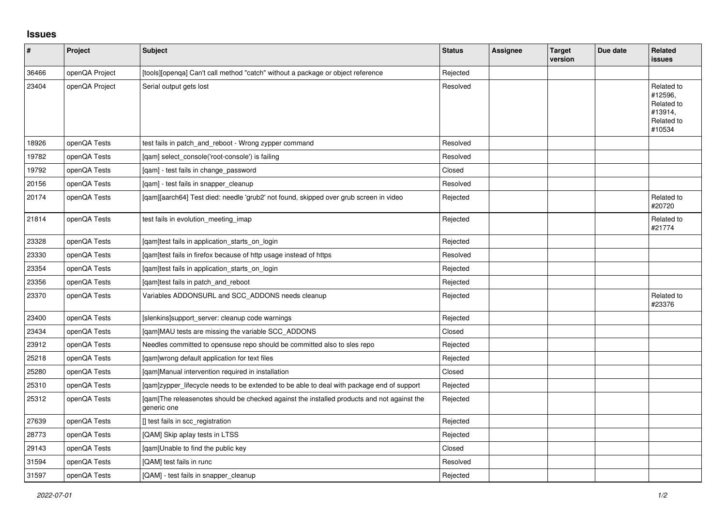## **Issues**

| $\pmb{\#}$ | Project        | <b>Subject</b>                                                                                            | <b>Status</b> | Assignee | <b>Target</b><br>version | Due date | <b>Related</b><br>issues                                               |
|------------|----------------|-----------------------------------------------------------------------------------------------------------|---------------|----------|--------------------------|----------|------------------------------------------------------------------------|
| 36466      | openQA Project | [tools][openqa] Can't call method "catch" without a package or object reference                           | Rejected      |          |                          |          |                                                                        |
| 23404      | openQA Project | Serial output gets lost                                                                                   | Resolved      |          |                          |          | Related to<br>#12596,<br>Related to<br>#13914,<br>Related to<br>#10534 |
| 18926      | openQA Tests   | test fails in patch_and_reboot - Wrong zypper command                                                     | Resolved      |          |                          |          |                                                                        |
| 19782      | openQA Tests   | [qam] select_console('root-console') is failing                                                           | Resolved      |          |                          |          |                                                                        |
| 19792      | openQA Tests   | [qam] - test fails in change_password                                                                     | Closed        |          |                          |          |                                                                        |
| 20156      | openQA Tests   | [qam] - test fails in snapper_cleanup                                                                     | Resolved      |          |                          |          |                                                                        |
| 20174      | openQA Tests   | [qam][aarch64] Test died: needle 'grub2' not found, skipped over grub screen in video                     | Rejected      |          |                          |          | Related to<br>#20720                                                   |
| 21814      | openQA Tests   | test fails in evolution_meeting_imap                                                                      | Rejected      |          |                          |          | Related to<br>#21774                                                   |
| 23328      | openQA Tests   | [qam]test fails in application_starts_on_login                                                            | Rejected      |          |                          |          |                                                                        |
| 23330      | openQA Tests   | [qam]test fails in firefox because of http usage instead of https                                         | Resolved      |          |                          |          |                                                                        |
| 23354      | openQA Tests   | [gam]test fails in application starts on login                                                            | Rejected      |          |                          |          |                                                                        |
| 23356      | openQA Tests   | [gam]test fails in patch and reboot                                                                       | Rejected      |          |                          |          |                                                                        |
| 23370      | openQA Tests   | Variables ADDONSURL and SCC_ADDONS needs cleanup                                                          | Rejected      |          |                          |          | Related to<br>#23376                                                   |
| 23400      | openQA Tests   | [slenkins]support server: cleanup code warnings                                                           | Rejected      |          |                          |          |                                                                        |
| 23434      | openQA Tests   | [qam]MAU tests are missing the variable SCC_ADDONS                                                        | Closed        |          |                          |          |                                                                        |
| 23912      | openQA Tests   | Needles committed to opensuse repo should be committed also to sles repo                                  | Rejected      |          |                          |          |                                                                        |
| 25218      | openQA Tests   | [qam]wrong default application for text files                                                             | Rejected      |          |                          |          |                                                                        |
| 25280      | openQA Tests   | [gam]Manual intervention required in installation                                                         | Closed        |          |                          |          |                                                                        |
| 25310      | openQA Tests   | [qam]zypper_lifecycle needs to be extended to be able to deal with package end of support                 | Rejected      |          |                          |          |                                                                        |
| 25312      | openQA Tests   | [gam]The releasenotes should be checked against the installed products and not against the<br>generic one | Rejected      |          |                          |          |                                                                        |
| 27639      | openQA Tests   | [] test fails in scc_registration                                                                         | Rejected      |          |                          |          |                                                                        |
| 28773      | openQA Tests   | [QAM] Skip aplay tests in LTSS                                                                            | Rejected      |          |                          |          |                                                                        |
| 29143      | openQA Tests   | [gam]Unable to find the public key                                                                        | Closed        |          |                          |          |                                                                        |
| 31594      | openQA Tests   | [QAM] test fails in runc                                                                                  | Resolved      |          |                          |          |                                                                        |
| 31597      | openQA Tests   | [QAM] - test fails in snapper_cleanup                                                                     | Rejected      |          |                          |          |                                                                        |